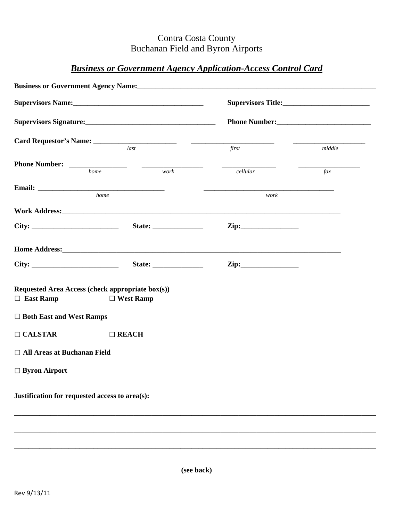## Contra Costa County Buchanan Field and Byron Airports

## *Business or Government Agency Application-Access Control Card*

|                                                                      | <b>Business or Government Agency Name:</b> Manual Manual Manual Manual Manual Manual Manual Manual Manual Manual Manual Manual Manual Manual Manual Manual Manual Manual Manual Manual Manual Manual Manual Manual Manual Manual Ma |                    |           |  |
|----------------------------------------------------------------------|-------------------------------------------------------------------------------------------------------------------------------------------------------------------------------------------------------------------------------------|--------------------|-----------|--|
|                                                                      |                                                                                                                                                                                                                                     | Supervisors Title: |           |  |
|                                                                      |                                                                                                                                                                                                                                     |                    |           |  |
|                                                                      | $\overline{last}$                                                                                                                                                                                                                   | first              | middle    |  |
|                                                                      | work<br>home                                                                                                                                                                                                                        | cellular           | $\int ax$ |  |
|                                                                      |                                                                                                                                                                                                                                     |                    |           |  |
| Email: home                                                          |                                                                                                                                                                                                                                     | work               |           |  |
|                                                                      |                                                                                                                                                                                                                                     |                    |           |  |
|                                                                      | State: $\frac{1}{\sqrt{1-\frac{1}{2}} \cdot \frac{1}{2}}$                                                                                                                                                                           |                    |           |  |
|                                                                      | <b>Home Address: Example 2018</b>                                                                                                                                                                                                   |                    |           |  |
|                                                                      |                                                                                                                                                                                                                                     |                    |           |  |
| Requested Area Access (check appropriate box(s))<br>$\Box$ East Ramp | $\Box$ West Ramp                                                                                                                                                                                                                    |                    |           |  |
| $\Box$ Both East and West Ramps                                      |                                                                                                                                                                                                                                     |                    |           |  |
| $\Box$ CALSTAR                                                       | $\Box$ REACH                                                                                                                                                                                                                        |                    |           |  |
| $\Box$ All Areas at Buchanan Field                                   |                                                                                                                                                                                                                                     |                    |           |  |
| $\Box$ Byron Airport                                                 |                                                                                                                                                                                                                                     |                    |           |  |
| Justification for requested access to area(s):                       |                                                                                                                                                                                                                                     |                    |           |  |
|                                                                      |                                                                                                                                                                                                                                     |                    |           |  |
|                                                                      |                                                                                                                                                                                                                                     |                    |           |  |

**\_\_\_\_\_\_\_\_\_\_\_\_\_\_\_\_\_\_\_\_\_\_\_\_\_\_\_\_\_\_\_\_\_\_\_\_\_\_\_\_\_\_\_\_\_\_\_\_\_\_\_\_\_\_\_\_\_\_\_\_\_\_\_\_\_\_\_\_\_\_\_\_\_\_\_\_\_\_\_\_\_\_\_\_\_\_\_\_\_\_\_\_\_\_\_\_\_\_\_\_**